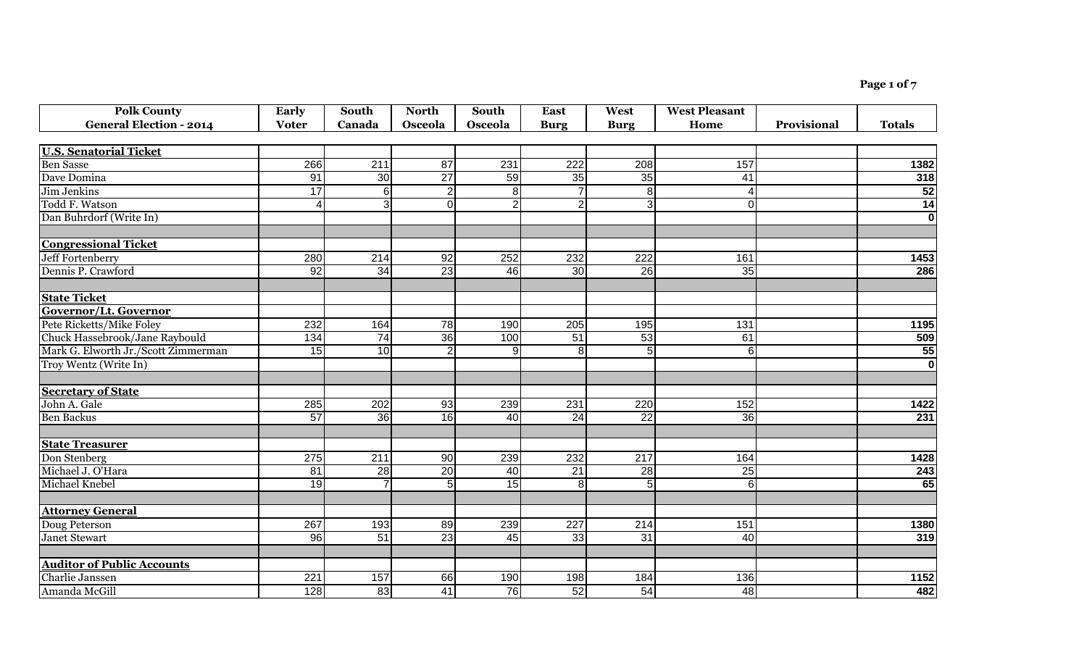**Page 1 of 7**

| <b>Polk County</b>                  | <b>Early</b>           | South            | <b>North</b>    | <b>South</b>   | <b>East</b>     | West             | <b>West Pleasant</b> |             |                         |
|-------------------------------------|------------------------|------------------|-----------------|----------------|-----------------|------------------|----------------------|-------------|-------------------------|
| <b>General Election - 2014</b>      | <b>Voter</b>           | Canada           | Osceola         | Osceola        | <b>Burg</b>     | <b>Burg</b>      | Home                 | Provisional | <b>Totals</b>           |
|                                     |                        |                  |                 |                |                 |                  |                      |             |                         |
| <b>U.S. Senatorial Ticket</b>       |                        |                  |                 |                |                 |                  |                      |             |                         |
| <b>Ben Sasse</b>                    | 266                    | 211              | 87              | 231            | 222             | 208              | 157                  |             | 1382                    |
| Dave Domina                         | 91                     | 30               | $\overline{27}$ | 59             | 35              | 35               | 41                   |             | 318                     |
| Jim Jenkins                         | 17                     | 6                | $\overline{2}$  | $\overline{8}$ |                 | $\overline{8}$   | $\overline{4}$       |             | $\overline{52}$         |
| Todd F. Watson                      | $\boldsymbol{\Lambda}$ |                  | $\overline{0}$  | $\overline{2}$ | $\overline{2}$  | $\overline{3}$   | 0                    |             | 14                      |
| Dan Buhrdorf (Write In)             |                        |                  |                 |                |                 |                  |                      |             | $\bf{0}$                |
| <b>Congressional Ticket</b>         |                        |                  |                 |                |                 |                  |                      |             |                         |
| <b>Jeff Fortenberry</b>             | 280                    | $\overline{214}$ | $\overline{92}$ | 252            | 232             | $\overline{222}$ | 161                  |             | 1453                    |
| Dennis P. Crawford                  | 92                     | $\overline{34}$  | 23              | 46             | 30              | 26               | 35                   |             | 286                     |
| <b>State Ticket</b>                 |                        |                  |                 |                |                 |                  |                      |             |                         |
| Governor/Lt. Governor               |                        |                  |                 |                |                 |                  |                      |             |                         |
| Pete Ricketts/Mike Foley            | 232                    | 164              | 78              | 190            | 205             | 195              | 131                  |             | 1195                    |
| Chuck Hassebrook/Jane Raybould      | 134                    | $\overline{74}$  | 36              | 100            | 51              | 53               | 61                   |             |                         |
| Mark G. Elworth Jr./Scott Zimmerman | 15                     | $\overline{10}$  | $\overline{2}$  | 9              | 8 <sup>1</sup>  | $\overline{5}$   | 6                    |             | $\frac{509}{55}$        |
| Troy Wentz (Write In)               |                        |                  |                 |                |                 |                  |                      |             | $\overline{\mathbf{o}}$ |
| <b>Secretary of State</b>           |                        |                  |                 |                |                 |                  |                      |             |                         |
| John A. Gale                        | 285                    | 202              | 93              | 239            | 231             | 220              | 152                  |             | 1422                    |
| <b>Ben Backus</b>                   | 57                     | $\overline{36}$  | 16              | 40             | $\overline{24}$ | $\overline{22}$  | 36                   |             | 231                     |
| <b>State Treasurer</b>              |                        |                  |                 |                |                 |                  |                      |             |                         |
| Don Stenberg                        | 275                    | 211              | 90              | 239            | 232             | $\overline{217}$ | 164                  |             | 1428                    |
| Michael J. O'Hara                   | 81                     | 28               | $\overline{20}$ | 40             | $\overline{21}$ | $\overline{28}$  | $\overline{25}$      |             | 243                     |
| Michael Knebel                      | 19                     |                  | $\overline{5}$  | 15             | $\bf{8}$        | $\overline{5}$   | $\overline{6}$       |             | 65                      |
| <b>Attorney General</b>             |                        |                  |                 |                |                 |                  |                      |             |                         |
| Doug Peterson                       | 267                    | 193              | 89              | 239            | 227             | 214              | 151                  |             | 1380                    |
| <b>Janet Stewart</b>                | 96                     | 51               | $\overline{23}$ | 45             | 33              | $\overline{31}$  | 40                   |             | 319                     |
| <b>Auditor of Public Accounts</b>   |                        |                  |                 |                |                 |                  |                      |             |                         |
| Charlie Janssen                     | 221                    | 157              | 66              | 190            | 198             | 184              | 136                  |             | 1152                    |
| Amanda McGill                       | 128                    | 83               | 41              | 76             | 52              | 54               | 48                   |             | 482                     |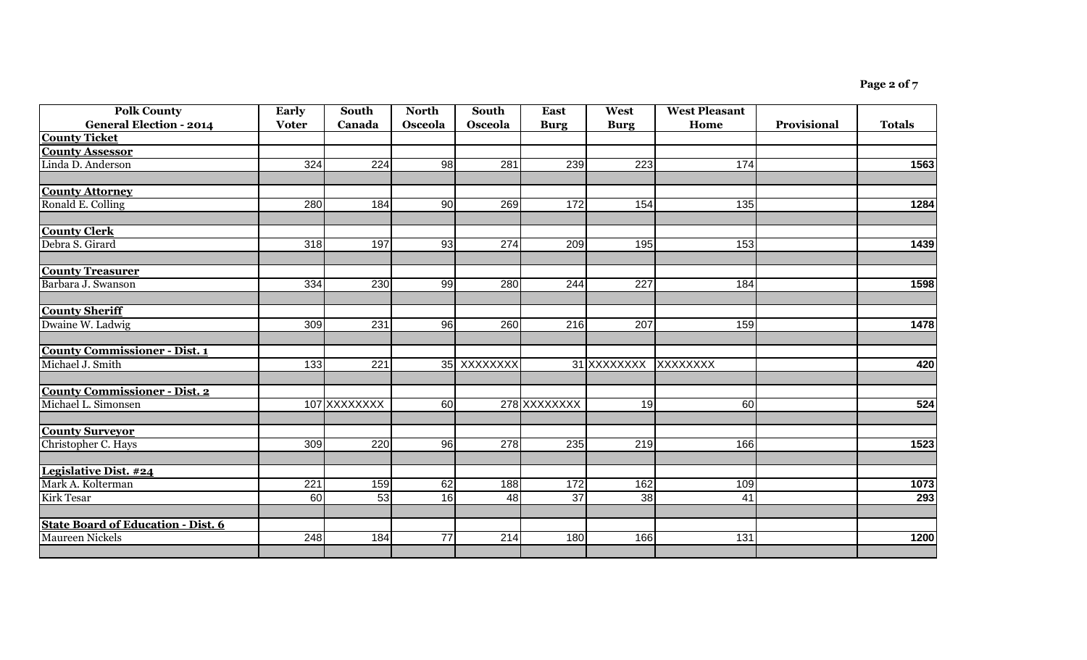| <b>Polk County</b>                        | <b>Early</b>     | South        | <b>North</b> | <b>South</b> | <b>East</b>     | West                 | <b>West Pleasant</b> |             |               |
|-------------------------------------------|------------------|--------------|--------------|--------------|-----------------|----------------------|----------------------|-------------|---------------|
| <b>General Election - 2014</b>            | <b>Voter</b>     | Canada       | Osceola      | Osceola      | <b>Burg</b>     | <b>Burg</b>          | Home                 | Provisional | <b>Totals</b> |
| <b>County Ticket</b>                      |                  |              |              |              |                 |                      |                      |             |               |
| <b>County Assessor</b>                    |                  |              |              |              |                 |                      |                      |             |               |
| Linda D. Anderson                         | 324              | 224          | 98           | 281          | 239             | 223                  | 174                  |             | 1563          |
| <b>County Attorney</b>                    |                  |              |              |              |                 |                      |                      |             |               |
| Ronald E. Colling                         | 280              | 184          | 90           | 269          | 172             | 154                  | $\overline{135}$     |             | 1284          |
| <b>County Clerk</b>                       |                  |              |              |              |                 |                      |                      |             |               |
| Debra S. Girard                           | 318              | 197          | 93           | 274          | 209             | 195                  | 153                  |             | 1439          |
| <b>County Treasurer</b>                   |                  |              |              |              |                 |                      |                      |             |               |
| Barbara J. Swanson                        | 334              | 230          | 99           | 280          | 244             | 227                  | 184                  |             | 1598          |
| <b>County Sheriff</b>                     |                  |              |              |              |                 |                      |                      |             |               |
| Dwaine W. Ladwig                          | 309              | 231          | 96           | 260          | 216             | 207                  | 159                  |             | 1478          |
| <b>County Commissioner - Dist. 1</b>      |                  |              |              |              |                 |                      |                      |             |               |
| Michael J. Smith                          | 133              | 221          |              | 35 XXXXXXXX  |                 | 31 XXXXXXXX XXXXXXXX |                      |             | 420           |
| <b>County Commissioner - Dist. 2</b>      |                  |              |              |              |                 |                      |                      |             |               |
| Michael L. Simonsen                       |                  | 107 XXXXXXXX | 60           |              | 278 XXXXXXXX    | 19                   | 60                   |             | 524           |
| <b>County Surveyor</b>                    |                  |              |              |              |                 |                      |                      |             |               |
| Christopher C. Hays                       | 309              | 220          | 96           | 278          | 235             | 219                  | 166                  |             | 1523          |
| Legislative Dist. #24                     |                  |              |              |              |                 |                      |                      |             |               |
| Mark A. Kolterman                         | $\overline{221}$ | 159          | 62           | 188          | 172             | 162                  | 109                  |             | 1073          |
| <b>Kirk Tesar</b>                         | 60               | 53           | 16           | 48           | $\overline{37}$ | $\overline{38}$      | 41                   |             | 293           |
| <b>State Board of Education - Dist. 6</b> |                  |              |              |              |                 |                      |                      |             |               |
| <b>Maureen Nickels</b>                    | 248              | 184          | 77           | 214          | 180             | 166                  | 131                  |             | 1200          |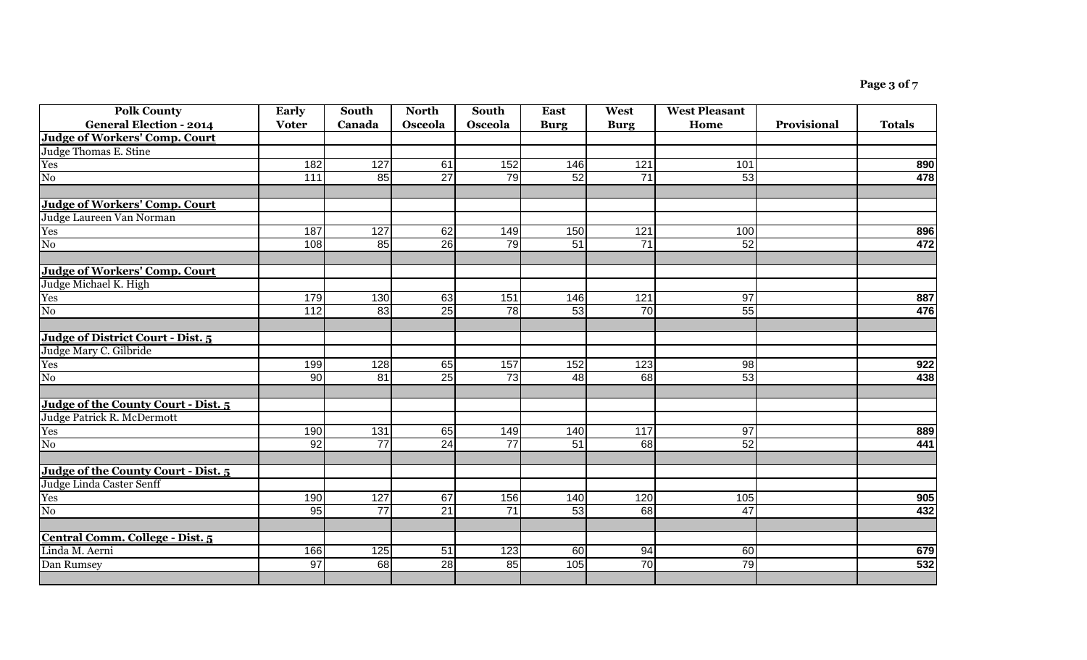| <b>Polk County</b><br><b>General Election - 2014</b> | Early<br><b>Voter</b> | South<br>Canada | <b>North</b><br>Osceola | <b>South</b><br>Osceola | East<br><b>Burg</b> | West<br><b>Burg</b> | <b>West Pleasant</b><br>Home | Provisional | <b>Totals</b> |
|------------------------------------------------------|-----------------------|-----------------|-------------------------|-------------------------|---------------------|---------------------|------------------------------|-------------|---------------|
| <b>Judge of Workers' Comp. Court</b>                 |                       |                 |                         |                         |                     |                     |                              |             |               |
| Judge Thomas E. Stine                                |                       |                 |                         |                         |                     |                     |                              |             |               |
| Yes                                                  | 182                   | 127             | 61                      | 152                     | 146                 | 121                 | 101                          |             | 890           |
| $\overline{N_{0}}$                                   | 111                   | 85              | $\overline{27}$         | $\overline{79}$         | 52                  | $\overline{71}$     | 53                           |             | 478           |
|                                                      |                       |                 |                         |                         |                     |                     |                              |             |               |
| <b>Judge of Workers' Comp. Court</b>                 |                       |                 |                         |                         |                     |                     |                              |             |               |
| Judge Laureen Van Norman                             |                       |                 |                         |                         |                     |                     |                              |             |               |
| Yes                                                  | 187                   | 127             | 62                      | 149                     | 150                 | 121                 | 100                          |             | 896           |
| No                                                   | 108                   | 85              | 26                      | 79                      | 51                  | 71                  | 52                           |             | 472           |
|                                                      |                       |                 |                         |                         |                     |                     |                              |             |               |
| <b>Judge of Workers' Comp. Court</b>                 |                       |                 |                         |                         |                     |                     |                              |             |               |
| Judge Michael K. High                                |                       |                 |                         |                         |                     |                     |                              |             |               |
| Yes                                                  | 179                   | 130             | 63                      | 151                     | 146                 | 121                 | 97                           |             | 887           |
| N <sub>0</sub>                                       | $\overline{112}$      | 83              | 25                      | 78                      | 53                  | 70                  | 55                           |             | 476           |
|                                                      |                       |                 |                         |                         |                     |                     |                              |             |               |
| Judge of District Court - Dist. 5                    |                       |                 |                         |                         |                     |                     |                              |             |               |
| Judge Mary C. Gilbride                               |                       |                 |                         |                         |                     |                     |                              |             |               |
| Yes                                                  | 199                   | 128             | 65                      | 157                     | 152                 | 123                 | 98                           |             | 922           |
| No                                                   | 90                    | 81              | 25                      | 73                      | 48                  | 68                  | 53                           |             | 438           |
|                                                      |                       |                 |                         |                         |                     |                     |                              |             |               |
| Judge of the County Court - Dist. 5                  |                       |                 |                         |                         |                     |                     |                              |             |               |
| Judge Patrick R. McDermott                           |                       |                 |                         |                         |                     |                     |                              |             |               |
| Yes                                                  | 190                   | 131             | 65                      | 149                     | 140                 | 117                 | $\overline{97}$              |             | 889           |
| $\overline{\text{No}}$                               | 92                    | $\overline{77}$ | 24                      | $\overline{77}$         | 51                  | 68                  | 52                           |             | 441           |
| Judge of the County Court - Dist. 5                  |                       |                 |                         |                         |                     |                     |                              |             |               |
| Judge Linda Caster Senff                             |                       |                 |                         |                         |                     |                     |                              |             |               |
| Yes                                                  | 190                   | 127             | 67                      | 156                     | 140                 | 120                 | 105                          |             | 905           |
| $\overline{\text{No}}$                               | 95                    | $\overline{77}$ | 21                      | 71                      | 53                  | 68                  | 47                           |             | 432           |
|                                                      |                       |                 |                         |                         |                     |                     |                              |             |               |
| Central Comm. College - Dist. 5                      |                       |                 |                         |                         |                     |                     |                              |             |               |
| Linda M. Aerni                                       | 166                   | 125             | 51                      | 123                     | 60                  | 94                  | $\overline{60}$              |             | 679           |
| Dan Rumsey                                           | $\overline{97}$       | 68              | 28                      | 85                      | 105                 | 70                  | $\overline{79}$              |             | 532           |
|                                                      |                       |                 |                         |                         |                     |                     |                              |             |               |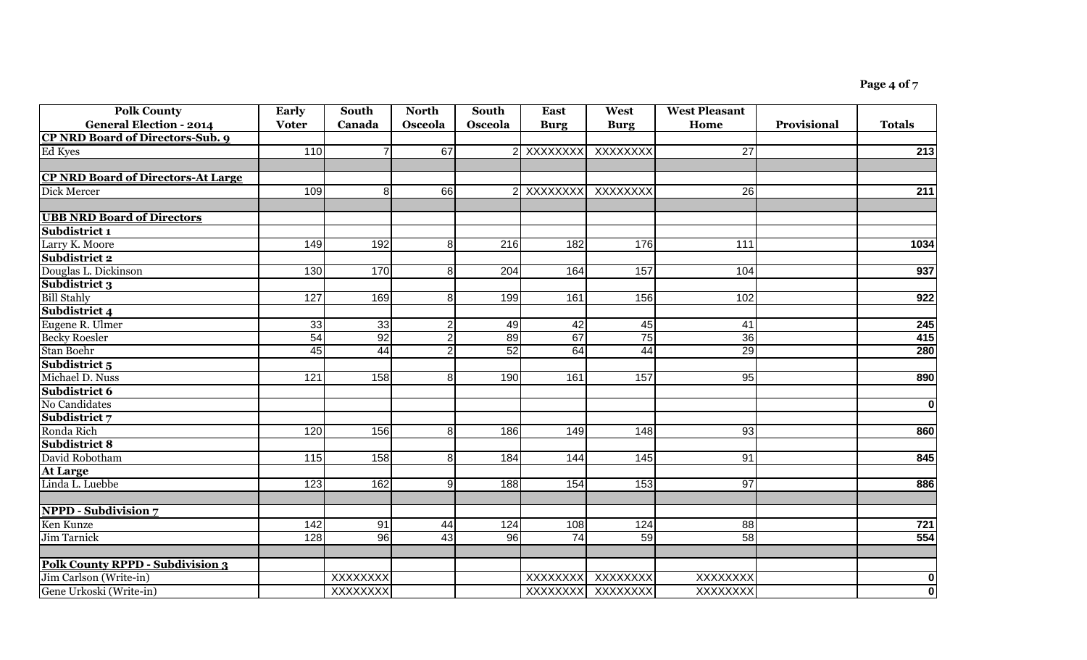| <b>Polk County</b>                        | Early            | South           | <b>North</b>   | <b>South</b>     | <b>East</b>    | West              | <b>West Pleasant</b> |                    |                         |
|-------------------------------------------|------------------|-----------------|----------------|------------------|----------------|-------------------|----------------------|--------------------|-------------------------|
| <b>General Election - 2014</b>            | <b>Voter</b>     | Canada          | Osceola        | Osceola          | <b>Burg</b>    | <b>Burg</b>       | Home                 | <b>Provisional</b> | <b>Totals</b>           |
| <b>CP NRD Board of Directors-Sub. 9</b>   |                  |                 |                |                  |                |                   |                      |                    |                         |
| Ed Kyes                                   | 110              |                 | 67             |                  | 2 XXXXXXXX     | XXXXXXX           | 27                   |                    | $\overline{213}$        |
|                                           |                  |                 |                |                  |                |                   |                      |                    |                         |
| <b>CP NRD Board of Directors-At Large</b> |                  |                 |                |                  |                |                   |                      |                    |                         |
| Dick Mercer                               | 109              | 8               | 66             |                  | XXXXXXX        | XXXXXXX           | 26                   |                    | 211                     |
| <b>UBB NRD Board of Directors</b>         |                  |                 |                |                  |                |                   |                      |                    |                         |
| Subdistrict 1                             |                  |                 |                |                  |                |                   |                      |                    |                         |
| Larry K. Moore                            | 149              | 192             | 8 <sup>1</sup> | $\overline{216}$ | 182            | 176               | $\overline{111}$     |                    | 1034                    |
| Subdistrict 2                             |                  |                 |                |                  |                |                   |                      |                    |                         |
| Douglas L. Dickinson                      | 130              | 170             | 8 <sup>1</sup> | 204              | 164            | 157               | 104                  |                    | 937                     |
| Subdistrict 3                             |                  |                 |                |                  |                |                   |                      |                    |                         |
| <b>Bill Stahly</b>                        | 127              | 169             | 8 <sup>1</sup> | 199              | 161            | 156               | 102                  |                    | 922                     |
| Subdistrict 4                             |                  |                 |                |                  |                |                   |                      |                    |                         |
| Eugene R. Ulmer                           | 33               | 33              | $\overline{2}$ | 49               | 42             | 45                | 41                   |                    | 245                     |
| <b>Becky Roesler</b>                      | 54               | 92              | $\overline{2}$ | 89               | 67             | 75                | 36                   |                    | 415                     |
| Stan Boehr                                | 45               | 44              | $\overline{2}$ | 52               | 64             | 44                | 29                   |                    | 280                     |
| Subdistrict 5                             |                  |                 |                |                  |                |                   |                      |                    |                         |
| Michael D. Nuss                           | $\overline{121}$ | 158             | 8 <sup>1</sup> | 190              | 161            | 157               | 95                   |                    | 890                     |
| Subdistrict 6                             |                  |                 |                |                  |                |                   |                      |                    |                         |
| No Candidates                             |                  |                 |                |                  |                |                   |                      |                    | $\overline{\mathbf{0}}$ |
| Subdistrict 7                             |                  |                 |                |                  |                |                   |                      |                    |                         |
| Ronda Rich                                | 120              | 156             | 8 <sup>1</sup> | 186              | 149            | 148               | 93                   |                    | 860                     |
| <b>Subdistrict 8</b>                      |                  |                 |                |                  |                |                   |                      |                    |                         |
| David Robotham                            | 115              | 158             | 8 <sup>1</sup> | 184              | 144            | 145               | 91                   |                    | 845                     |
| <b>At Large</b>                           |                  |                 |                |                  |                |                   |                      |                    |                         |
| Linda L. Luebbe                           | $\overline{123}$ | 162             | 9              | 188              | 154            | 153               | 97                   |                    | 886                     |
| <b>NPPD - Subdivision 7</b>               |                  |                 |                |                  |                |                   |                      |                    |                         |
| Ken Kunze                                 | 142              | 91              | 44             | 124              | 108            | 124               | 88                   |                    | 721                     |
| <b>Jim Tarnick</b>                        | 128              | 96              | 43             | 96               | 74             | 59                | 58                   |                    | 554                     |
|                                           |                  |                 |                |                  |                |                   |                      |                    |                         |
| <b>Polk County RPPD - Subdivision 3</b>   |                  |                 |                |                  |                |                   |                      |                    |                         |
| Jim Carlson (Write-in)                    |                  | XXXXXXX         |                |                  | <b>XXXXXXX</b> | XXXXXXX           | XXXXXXX              |                    | 0                       |
| Gene Urkoski (Write-in)                   |                  | <b>XXXXXXXX</b> |                |                  |                | XXXXXXXX XXXXXXXX | <b>XXXXXXXX</b>      |                    | $\overline{\mathbf{0}}$ |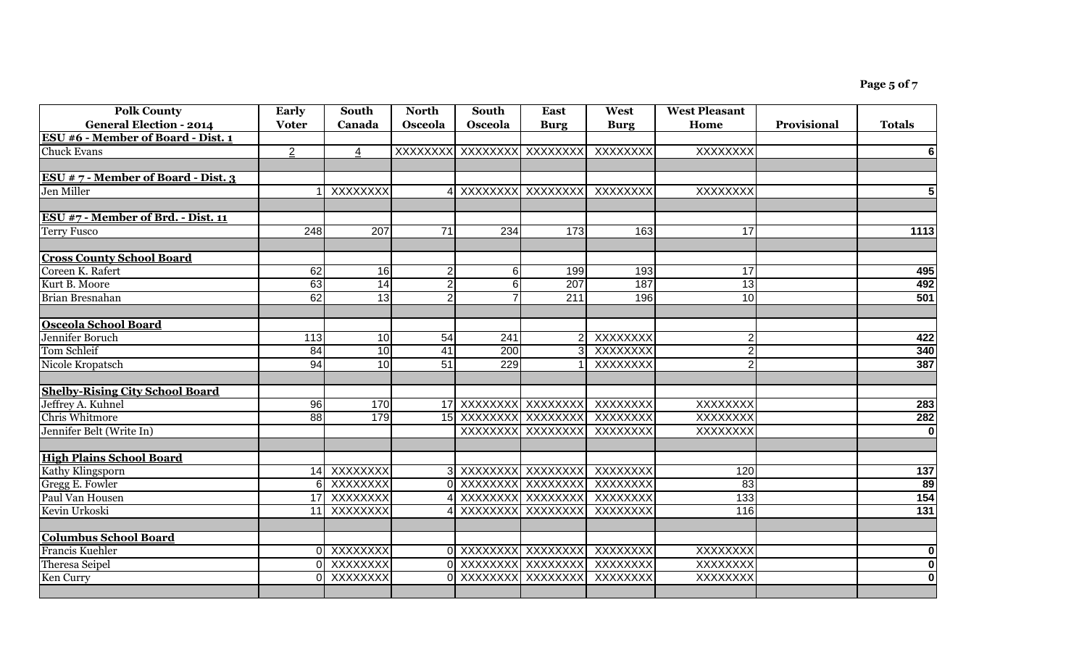| <b>Polk County</b>                                     | Early          | South            | <b>North</b>    | South                | <b>East</b>       | West        | <b>West Pleasant</b> |             |                               |
|--------------------------------------------------------|----------------|------------------|-----------------|----------------------|-------------------|-------------|----------------------|-------------|-------------------------------|
| <b>General Election - 2014</b>                         | <b>Voter</b>   | Canada           | Osceola         | Osceola              | <b>Burg</b>       | <b>Burg</b> | Home                 | Provisional | <b>Totals</b>                 |
| ESU #6 - Member of Board - Dist. 1                     |                |                  |                 |                      |                   |             |                      |             |                               |
| <b>Chuck Evans</b>                                     | $\overline{2}$ | 4                | <b>XXXXXXXX</b> | XXXXXXXX XXXXXXXX    |                   | XXXXXXX     | <b>XXXXXXXX</b>      |             | $6 \mid$                      |
|                                                        |                |                  |                 |                      |                   |             |                      |             |                               |
| ESU # $7$ - Member of Board - Dist. 3                  |                |                  |                 |                      |                   |             |                      |             |                               |
| Jen Miller                                             |                | <b>XXXXXXXX</b>  |                 |                      | XXXXXXXX XXXXXXXX | XXXXXXXX    | <b>XXXXXXXX</b>      |             | $5\phantom{1}$                |
|                                                        |                |                  |                 |                      |                   |             |                      |             |                               |
| ESU #7 - Member of Brd. - Dist. 11                     |                |                  |                 |                      |                   |             |                      |             |                               |
| <b>Terry Fusco</b>                                     | 248            | $\overline{207}$ | $\overline{71}$ | 234                  | 173               | 163         | $\overline{17}$      |             | 1113                          |
| <b>Cross County School Board</b>                       |                |                  |                 |                      |                   |             |                      |             |                               |
| Coreen K. Rafert                                       | 62             | 16               | $\overline{2}$  | 6                    | 199               | 193         | 17                   |             | 495                           |
| Kurt B. Moore                                          | 63             | $\overline{14}$  | $\overline{2}$  | 6                    | 207               | 187         | 13                   |             | 492                           |
| Brian Bresnahan                                        | 62             | 13               | $\overline{2}$  |                      | 211               | 196         | 10                   |             | 501                           |
|                                                        |                |                  |                 |                      |                   |             |                      |             |                               |
| <b>Osceola School Board</b>                            |                |                  |                 |                      |                   |             |                      |             |                               |
| Jennifer Boruch                                        | 113            | 10               | 54              | 241                  |                   | XXXXXXXX    | $\overline{2}$       |             | 422                           |
| <b>Tom Schleif</b>                                     | 84             | 10               | $\overline{41}$ | 200                  | $\overline{3}$    | XXXXXXX     | 2 <sub>l</sub>       |             | 340                           |
| Nicole Kropatsch                                       | 94             | 10               | $\overline{51}$ | 229                  |                   | XXXXXXXX    |                      |             | 387                           |
| <b>Shelby-Rising City School Board</b>                 |                |                  |                 |                      |                   |             |                      |             |                               |
| Jeffrey A. Kuhnel                                      | 96             | 170              |                 | 17 XXXXXXXX XXXXXXXX |                   | XXXXXXX     | <b>XXXXXXXX</b>      |             | 283                           |
| <b>Chris Whitmore</b>                                  | 88             | 179              |                 | 15 XXXXXXXX XXXXXXXX |                   | XXXXXXX     | <b>XXXXXXXX</b>      |             | 282                           |
| Jennifer Belt (Write In)                               |                |                  |                 |                      | XXXXXXXX XXXXXXXX | XXXXXXX     | <b>XXXXXXXX</b>      |             | $\overline{\mathbf{0}}$       |
|                                                        |                |                  |                 |                      |                   |             |                      |             |                               |
| <b>High Plains School Board</b>                        |                |                  |                 |                      |                   |             |                      |             |                               |
| Kathy Klingsporn                                       |                | 14 XXXXXXXX      |                 | 3 XXXXXXXX XXXXXXX   |                   | XXXXXXX     | 120                  |             | 137                           |
| <b>Gregg E. Fowler</b>                                 |                | 6 XXXXXXXX       |                 | 0 XXXXXXXX XXXXXXX   |                   | XXXXXXX     | 83                   |             | 89                            |
| Paul Van Housen                                        |                | 17 XXXXXXXX      |                 | 4 XXXXXXXX XXXXXXX   |                   | XXXXXXX     | 133                  |             | 154                           |
| Kevin Urkoski                                          |                | 11 XXXXXXXX      |                 | 4 XXXXXXXX XXXXXXXX  |                   | XXXXXXX     | 116                  |             | $\overline{131}$              |
|                                                        |                |                  |                 |                      |                   |             |                      |             |                               |
| <b>Columbus School Board</b><br><b>Francis Kuehler</b> |                | 0 XXXXXXXX       |                 | 0 XXXXXXXX XXXXXXX   |                   | XXXXXXX     | XXXXXXX              |             |                               |
|                                                        |                | 0 XXXXXXXX       |                 | 0 XXXXXXXX XXXXXXX   |                   | XXXXXXX     | <b>XXXXXXXX</b>      |             | 0 <br>$\overline{\mathbf{0}}$ |
| <b>Theresa Seipel</b>                                  | ΩL             | XXXXXXX          |                 | XXXXXXXX XXXXXXXX    |                   | XXXXXXX     | <b>XXXXXXXX</b>      |             | $\overline{\mathbf{o}}$       |
| Ken Curry                                              |                |                  |                 |                      |                   |             |                      |             |                               |
|                                                        |                |                  |                 |                      |                   |             |                      |             |                               |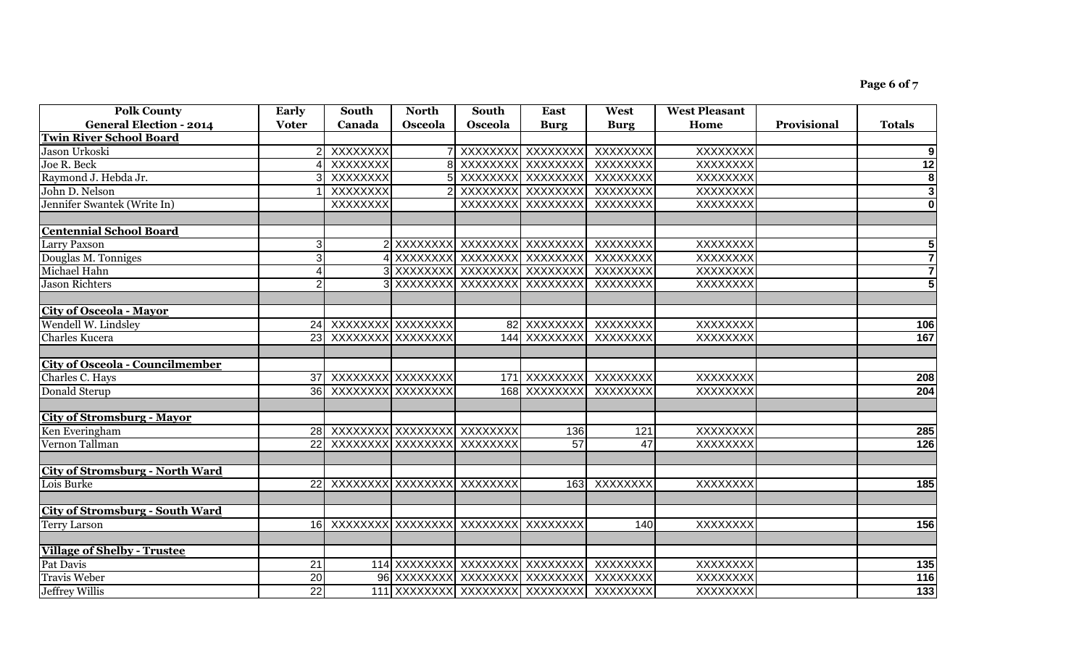| <b>Polk County</b>                     | Early           | South                          | <b>North</b>   | <b>South</b>                            | <b>East</b>           | West        | <b>West Pleasant</b> |             |                         |
|----------------------------------------|-----------------|--------------------------------|----------------|-----------------------------------------|-----------------------|-------------|----------------------|-------------|-------------------------|
| <b>General Election - 2014</b>         | <b>Voter</b>    | Canada                         | <b>Osceola</b> | Osceola                                 | <b>Burg</b>           | <b>Burg</b> | Home                 | Provisional | <b>Totals</b>           |
| <b>Twin River School Board</b>         |                 |                                |                |                                         |                       |             |                      |             |                         |
| Jason Urkoski                          |                 | XXXXXXX                        |                | XXXXXXXX XXXXXXXX                       |                       | XXXXXXX     | <b>XXXXXXXX</b>      |             | 9                       |
| Joe R. Beck                            |                 | XXXXXXX                        |                | XXXXXXX                                 | XXXXXXX               | XXXXXXX     | <b>XXXXXXXX</b>      |             | 12                      |
| Raymond J. Hebda Jr.                   |                 | XXXXXXX                        |                | XXXXXXX                                 | XXXXXXX               | XXXXXXX     | <b>XXXXXXXX</b>      |             | $\overline{\mathbf{8}}$ |
| John D. Nelson                         |                 | <b>XXXXXXXX</b>                |                | XXXXXXXX XXXXXXXX                       |                       | XXXXXXX     | <b>XXXXXXXX</b>      |             | $\overline{\mathbf{3}}$ |
| Jennifer Swantek (Write In)            |                 | <b>XXXXXXXX</b>                |                | <b>XXXXXXXX</b>                         | XXXXXXX               | XXXXXXX     | <b>XXXXXXXX</b>      |             | 0                       |
|                                        |                 |                                |                |                                         |                       |             |                      |             |                         |
| <b>Centennial School Board</b>         |                 |                                |                |                                         |                       |             |                      |             |                         |
| <b>Larry Paxson</b>                    | 3               |                                |                | XXXXXXXX XXXXXXXXX XXXXXXX              |                       | XXXXXXXX    | <b>XXXXXXXX</b>      |             | 5                       |
| Douglas M. Tonniges                    | 3               |                                |                | XXXXXXXX XXXXXXXX XXXXXXXX              |                       | XXXXXXXX    | <b>XXXXXXXX</b>      |             | $\overline{7}$          |
| Michael Hahn                           |                 |                                |                | XXXXXXXX XXXXXXXXX XXXXXXXX             |                       | XXXXXXX     | <b>XXXXXXXX</b>      |             | $\overline{7}$          |
| <b>Jason Richters</b>                  |                 |                                |                | XXXXXXXX XXXXXXXXX XXXXXXXX             |                       | XXXXXXXX    | <b>XXXXXXXX</b>      |             | $\overline{\mathbf{5}}$ |
|                                        |                 |                                |                |                                         |                       |             |                      |             |                         |
| <b>City of Osceola - Mayor</b>         |                 |                                |                |                                         |                       |             |                      |             |                         |
| Wendell W. Lindsley                    |                 | 24 XXXXXXXX XXXXXXXX           |                |                                         | 82 XXXXXXXX XXXXXXXX  |             | <b>XXXXXXXX</b>      |             | 106                     |
| <b>Charles Kucera</b>                  |                 | 23 XXXXXXXX XXXXXXXX           |                |                                         | 144 XXXXXXXX XXXXXXXX |             | <b>XXXXXXXX</b>      |             | 167                     |
|                                        |                 |                                |                |                                         |                       |             |                      |             |                         |
| <b>City of Osceola - Councilmember</b> |                 |                                |                |                                         |                       |             |                      |             |                         |
| Charles C. Hays                        |                 | 37 XXXXXXXX XXXXXXXX           |                |                                         | 171 XXXXXXXX XXXXXXXX |             | <b>XXXXXXXX</b>      |             | 208                     |
| Donald Sterup                          |                 | 36 XXXXXXXX XXXXXXXX           |                |                                         | 168 XXXXXXXX          | XXXXXXXX    | XXXXXXXX             |             | 204                     |
|                                        |                 |                                |                |                                         |                       |             |                      |             |                         |
| <b>City of Stromsburg - Mayor</b>      |                 |                                |                |                                         |                       |             |                      |             |                         |
| Ken Everingham                         |                 | 28 XXXXXXXX XXXXXXXXX XXXXXXXX |                |                                         | 136                   | 121         | XXXXXXXX             |             | 285                     |
| Vernon Tallman                         | 22 <sup>1</sup> | XXXXXXXX  XXXXXXXXX  XXXXXXXX  |                |                                         | $\overline{57}$       | 47          | XXXXXXXX             |             | 126                     |
|                                        |                 |                                |                |                                         |                       |             |                      |             |                         |
| <b>City of Stromsburg - North Ward</b> |                 |                                |                |                                         |                       |             |                      |             |                         |
| Lois Burke                             |                 | 22 XXXXXXXX XXXXXXXXX XXXXXXXX |                |                                         | 163                   | XXXXXXX     | XXXXXXX              |             | 185                     |
|                                        |                 |                                |                |                                         |                       |             |                      |             |                         |
| <b>City of Stromsburg - South Ward</b> |                 |                                |                |                                         |                       |             |                      |             |                         |
| <b>Terry Larson</b>                    |                 |                                |                | 16 XXXXXXXX XXXXXXXXX XXXXXXXX XXXXXXXX |                       | 140         | XXXXXXX              |             | 156                     |
|                                        |                 |                                |                |                                         |                       |             |                      |             |                         |
| <b>Village of Shelby - Trustee</b>     |                 |                                |                |                                         |                       |             |                      |             |                         |
| Pat Davis                              | $\overline{21}$ |                                |                | 114 XXXXXXXX XXXXXXXX                   | XXXXXXX               | XXXXXXX     | XXXXXXX              |             | $\overline{135}$        |
| <b>Travis Weber</b>                    | $\overline{20}$ |                                |                | 96 XXXXXXXX XXXXXXXX                    | XXXXXXX               | XXXXXXX     | XXXXXXX              |             | 116                     |
| <b>Jeffrey Willis</b>                  | $\overline{22}$ |                                |                | 111 XXXXXXXX XXXXXXXX XXXXXXXX          |                       | XXXXXXX     | <b>XXXXXXXX</b>      |             | $\overline{133}$        |